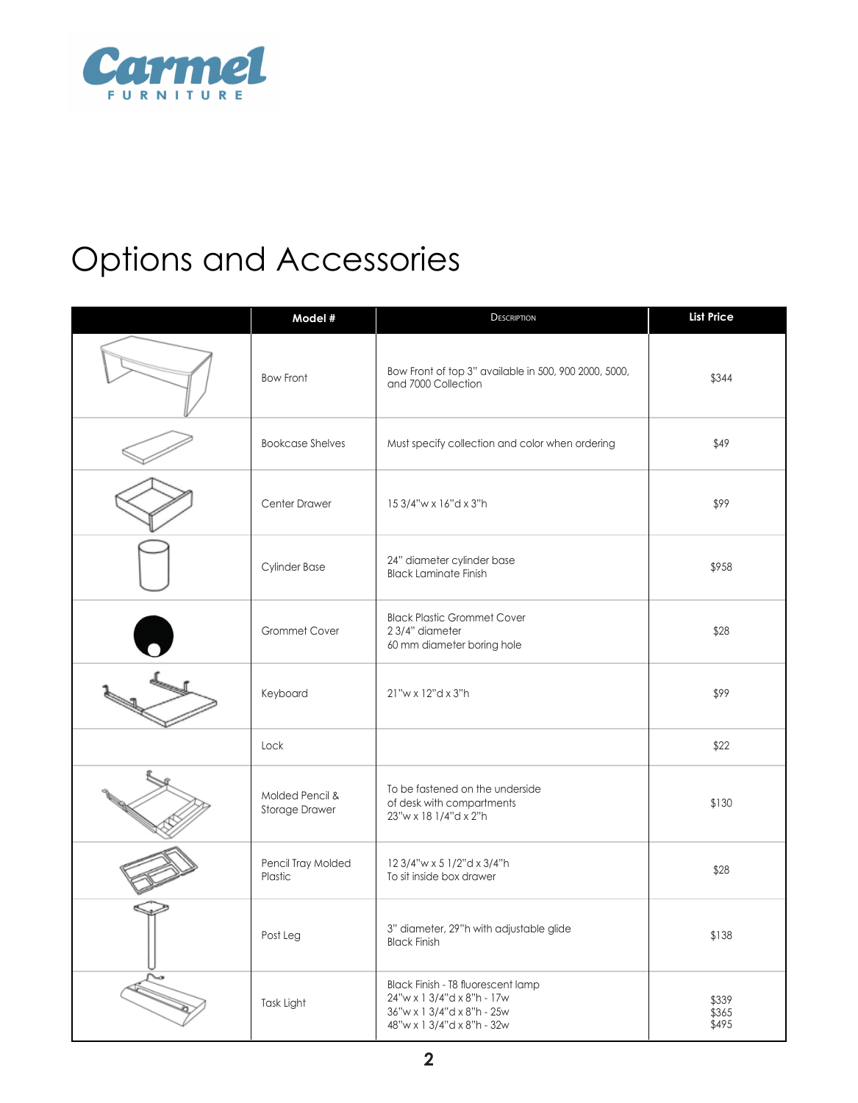

# Options and Accessories

| Model #                                  | <b>DESCRIPTION</b>                                                                                                           | <b>List Price</b>       |
|------------------------------------------|------------------------------------------------------------------------------------------------------------------------------|-------------------------|
| <b>Bow Front</b>                         | Bow Front of top 3" available in 500, 900 2000, 5000,<br>and 7000 Collection                                                 | \$344                   |
| <b>Bookcase Shelves</b>                  | Must specify collection and color when ordering                                                                              | \$49                    |
| Center Drawer                            | 15 3/4"w x 16"d x 3"h                                                                                                        | \$99                    |
| <b>Cylinder Base</b>                     | 24" diameter cylinder base<br><b>Black Laminate Finish</b>                                                                   | \$958                   |
| Grommet Cover                            | <b>Black Plastic Grommet Cover</b><br>23/4" diameter<br>60 mm diameter boring hole                                           | \$28                    |
| Keyboard                                 | 21"w x 12"d x 3"h                                                                                                            | \$99                    |
| Lock                                     |                                                                                                                              | \$22                    |
| Molded Pencil &<br><b>Storage Drawer</b> | To be fastened on the underside<br>of desk with compartments<br>23"w x 18 1/4"d x 2"h                                        | \$130                   |
| Pencil Tray Molded<br>Plastic            | 12 3/4"w x 5 1/2"d x 3/4"h<br>To sit inside box drawer                                                                       | \$28                    |
| Post Leg                                 | 3" diameter, 29"h with adjustable glide<br><b>Black Finish</b>                                                               | \$138                   |
| Task Light                               | Black Finish - T8 fluorescent lamp<br>24"w x 1 3/4"d x 8"h - 17w<br>36"w x 1 3/4"d x 8"h - 25w<br>48"w x 1 3/4"d x 8"h - 32w | \$339<br>\$365<br>\$495 |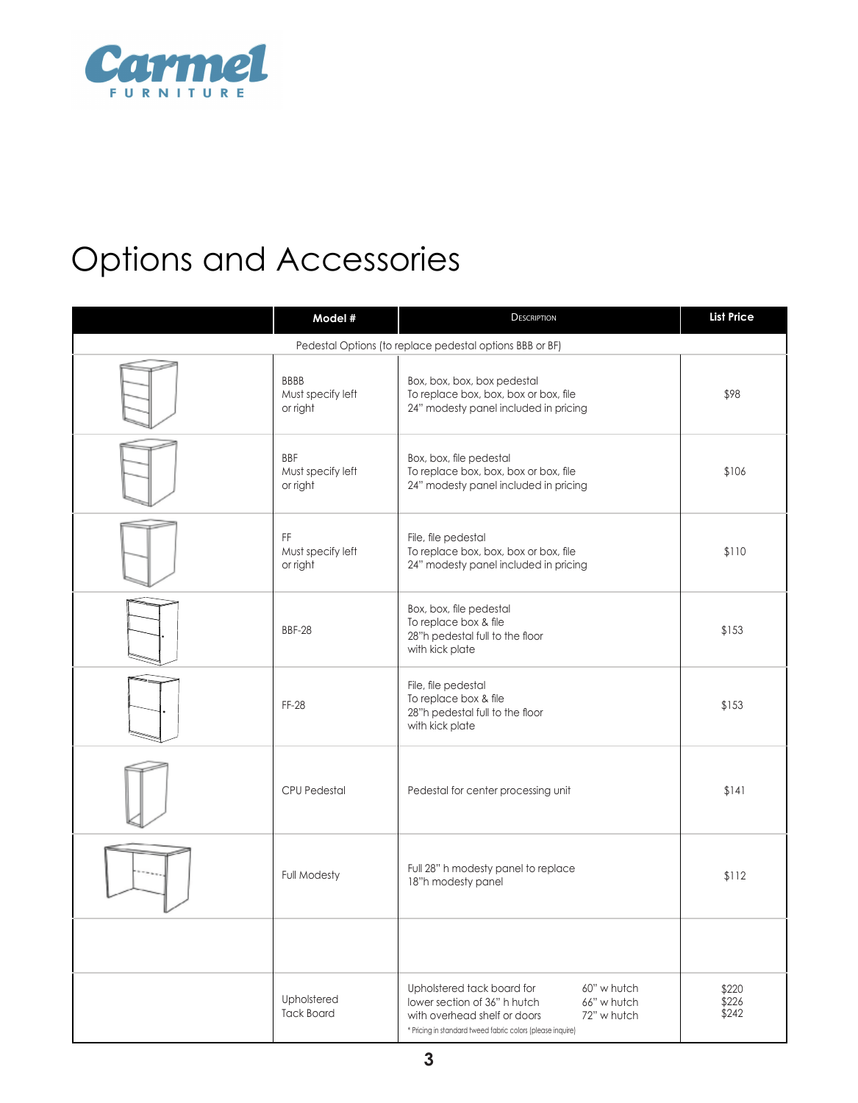

# Options and Accessories

| Model #                                      | <b>DESCRIPTION</b>                                                                                                                                                                                    | <b>List Price</b>       |
|----------------------------------------------|-------------------------------------------------------------------------------------------------------------------------------------------------------------------------------------------------------|-------------------------|
|                                              | Pedestal Options (to replace pedestal options BBB or BF)                                                                                                                                              |                         |
| <b>BBBB</b><br>Must specify left<br>or right | Box, box, box, box pedestal<br>To replace box, box, box or box, file<br>24" modesty panel included in pricing                                                                                         | \$98                    |
| <b>BBF</b><br>Must specify left<br>or right  | Box, box, file pedestal<br>To replace box, box, box or box, file<br>24" modesty panel included in pricing                                                                                             | \$106                   |
| FF<br>Must specify left<br>or right          | File, file pedestal<br>To replace box, box, box or box, file<br>24" modesty panel included in pricing                                                                                                 | \$110                   |
| <b>BBF-28</b>                                | Box, box, file pedestal<br>To replace box & file<br>28"h pedestal full to the floor<br>with kick plate                                                                                                | \$153                   |
| FF-28                                        | File, file pedestal<br>To replace box & file<br>28"h pedestal full to the floor<br>with kick plate                                                                                                    | \$153                   |
| <b>CPU Pedestal</b>                          | Pedestal for center processing unit                                                                                                                                                                   | \$141                   |
| <b>Full Modesty</b>                          | Full 28" h modesty panel to replace<br>18"h modesty panel                                                                                                                                             | \$112                   |
|                                              |                                                                                                                                                                                                       |                         |
| Upholstered<br><b>Tack Board</b>             | Upholstered tack board for<br>60" w hutch<br>lower section of 36" h hutch<br>66" w hutch<br>with overhead shelf or doors<br>72" w hutch<br>* Pricing in standard tweed fabric colors (please inquire) | \$220<br>\$226<br>\$242 |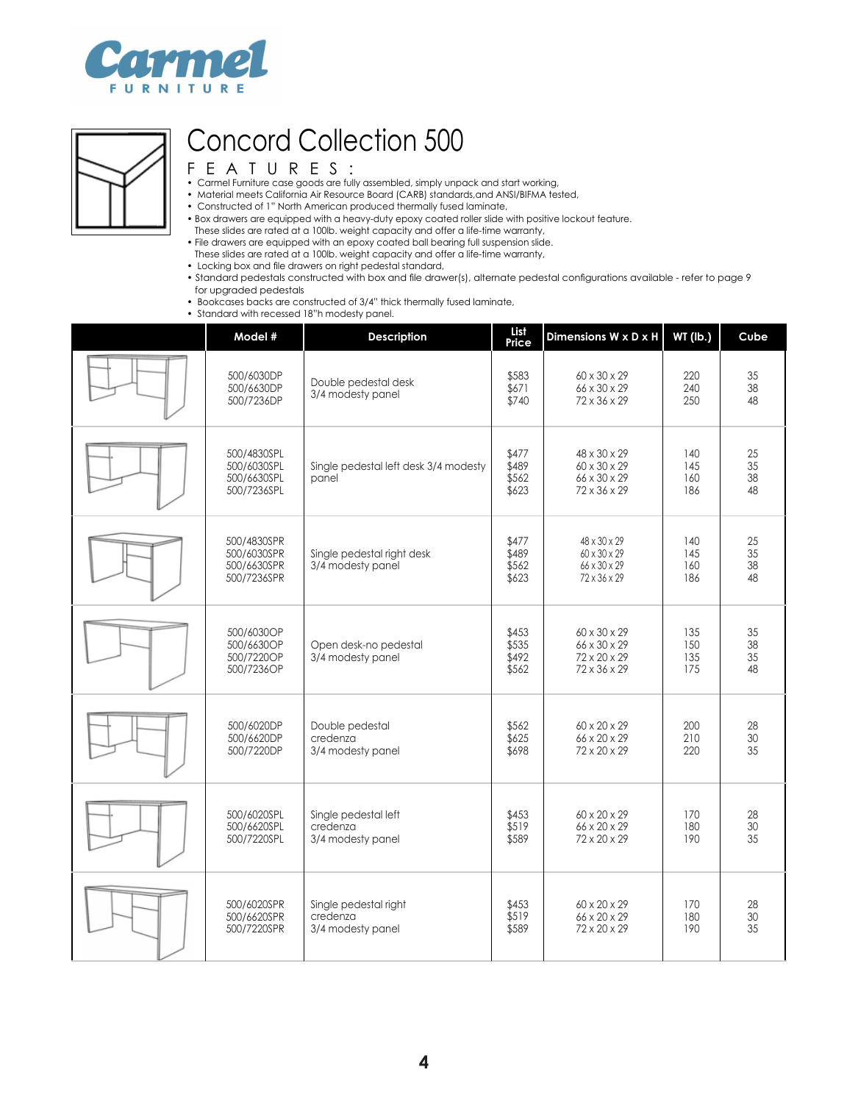



- Carmel Furniture case goods are fully assembled, simply unpack and start working,
- Material meets California Air Resource Board (CARB) standards,and ANSI/BIFMA tested,
- Constructed of 1" North American produced thermally fused laminate,
- Box drawers are equipped with a heavy-duty epoxy coated roller slide with positive lockout feature.
- These slides are rated at a 100lb. weight capacity and offer a life-time warranty,
- File drawers are equipped with an epoxy coated ball bearing full suspension slide.
- These slides are rated at a 100lb. weight capacity and offer a life-time warranty,
- Locking box and file drawers on right pedestal standard,
- Standard pedestals constructed with box and file drawer(s), alternate pedestal configurations available refer to page 9 for upgraded pedestals
- Bookcases backs are constructed of 3/4" thick thermally fused laminate,
- Standard with recessed 18"h modesty panel.

| Model #                                                  | <b>Description</b>                                     | <b>List</b><br>Price             | Dimensions W x D x H                                         | <b>WT (lb.)</b>          | Cube                 |
|----------------------------------------------------------|--------------------------------------------------------|----------------------------------|--------------------------------------------------------------|--------------------------|----------------------|
| 500/6030DP<br>500/6630DP<br>500/7236DP                   | Double pedestal desk<br>3/4 modesty panel              | \$583<br>\$671<br>\$740          | 60 x 30 x 29<br>66 x 30 x 29<br>72 x 36 x 29                 | 220<br>240<br>250        | 35<br>38<br>48       |
| 500/4830SPL<br>500/6030SPL<br>500/6630SPL<br>500/7236SPL | Single pedestal left desk 3/4 modesty<br>panel         | \$477<br>\$489<br>\$562<br>\$623 | 48 x 30 x 29<br>60 x 30 x 29<br>66 x 30 x 29<br>72 x 36 x 29 | 140<br>145<br>160<br>186 | 25<br>35<br>38<br>48 |
| 500/4830SPR<br>500/6030SPR<br>500/6630SPR<br>500/7236SPR | Single pedestal right desk<br>3/4 modesty panel        | \$477<br>\$489<br>\$562<br>\$623 | 48 x 30 x 29<br>60 x 30 x 29<br>66 x 30 x 29<br>72 x 36 x 29 | 140<br>145<br>160<br>186 | 25<br>35<br>38<br>48 |
| 500/6030OP<br>500/6630OP<br>500/7220OP<br>500/7236OP     | Open desk-no pedestal<br>3/4 modesty panel             | \$453<br>\$535<br>\$492<br>\$562 | 60 x 30 x 29<br>66 x 30 x 29<br>72 x 20 x 29<br>72 x 36 x 29 | 135<br>150<br>135<br>175 | 35<br>38<br>35<br>48 |
| 500/6020DP<br>500/6620DP<br>500/7220DP                   | Double pedestal<br>credenza<br>3/4 modesty panel       | \$562<br>\$625<br>\$698          | 60 x 20 x 29<br>66 x 20 x 29<br>72 x 20 x 29                 | 200<br>210<br>220        | 28<br>30<br>35       |
| 500/6020SPL<br>500/6620SPL<br>500/7220SPL                | Single pedestal left<br>credenza<br>3/4 modesty panel  | \$453<br>\$519<br>\$589          | 60 x 20 x 29<br>66 x 20 x 29<br>72 x 20 x 29                 | 170<br>180<br>190        | 28<br>30<br>35       |
| 500/6020SPR<br>500/6620SPR<br>500/7220SPR                | Single pedestal right<br>credenza<br>3/4 modesty panel | \$453<br>\$519<br>\$589          | 60 x 20 x 29<br>66 x 20 x 29<br>72 x 20 x 29                 | 170<br>180<br>190        | 28<br>$30\,$<br>35   |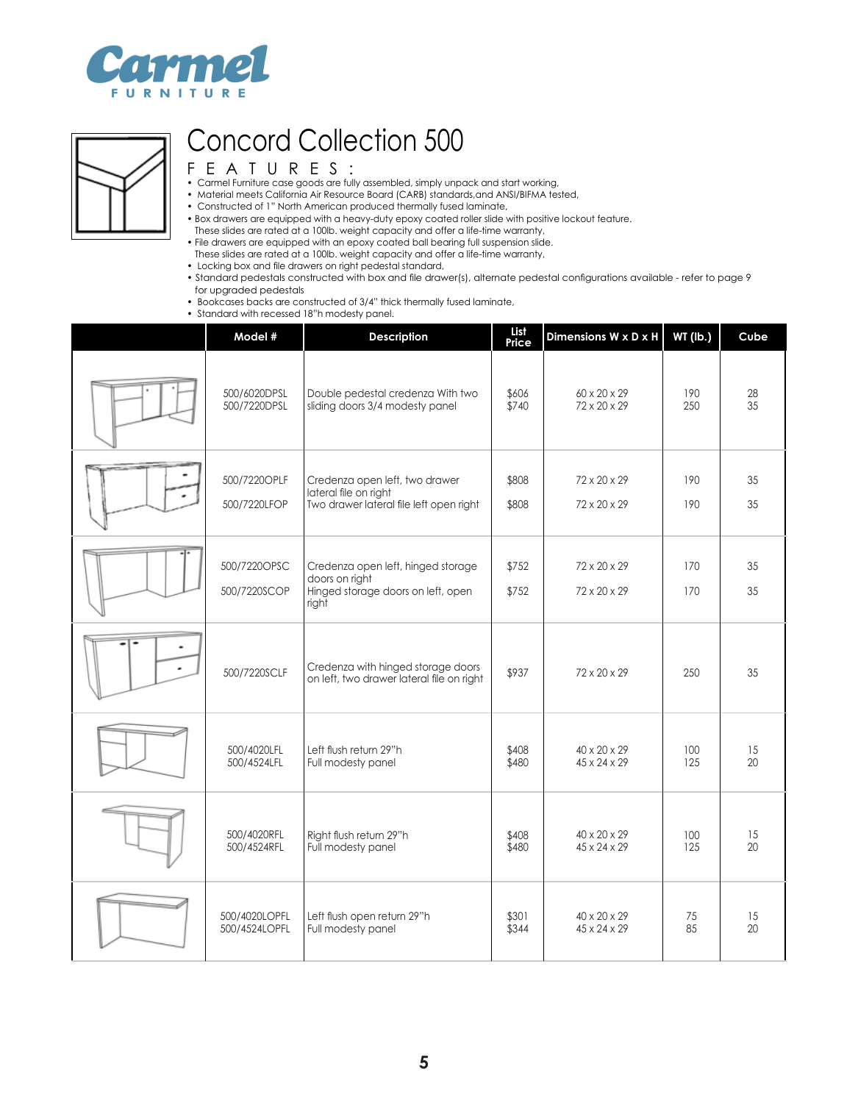



- Carmel Furniture case goods are fully assembled, simply unpack and start working,
- Material meets California Air Resource Board (CARB) standards,and ANSI/BIFMA tested,
- Constructed of 1" North American produced thermally fused laminate,
- Box drawers are equipped with a heavy-duty epoxy coated roller slide with positive lockout feature.
- These slides are rated at a 100lb. weight capacity and offer a life-time warranty,
- File drawers are equipped with an epoxy coated ball bearing full suspension slide.
- These slides are rated at a 100lb. weight capacity and offer a life-time warranty,
- Locking box and file drawers on right pedestal standard,
- Standard pedestals constructed with box and file drawer(s), alternate pedestal configurations available refer to page 9 for upgraded pedestals
- Bookcases backs are constructed of 3/4" thick thermally fused laminate,
- Standard with recessed 18"h modesty panel.

| Model #                      | <b>Description</b>                                                                                  | List<br>Price  | Dimensions W x D x H         | WT (lb.)   | Cube     |
|------------------------------|-----------------------------------------------------------------------------------------------------|----------------|------------------------------|------------|----------|
| 500/6020DPSL                 | Double pedestal credenza With two                                                                   | \$606          | 60 x 20 x 29                 | 190        | 28       |
| 500/7220DPSL                 | sliding doors 3/4 modesty panel                                                                     | \$740          | 72 x 20 x 29                 | 250        | 35       |
| 500/7220OPLF<br>500/7220LFOP | Credenza open left, two drawer<br>lateral file on right<br>Two drawer lateral file left open right  | \$808<br>\$808 | 72 x 20 x 29<br>72 x 20 x 29 | 190<br>190 | 35<br>35 |
| 500/7220OPSC<br>500/7220SCOP | Credenza open left, hinged storage<br>doors on right<br>Hinged storage doors on left, open<br>right | \$752<br>\$752 | 72 x 20 x 29<br>72 x 20 x 29 | 170<br>170 | 35<br>35 |
| 500/7220SCLF                 | Credenza with hinged storage doors<br>on left, two drawer lateral file on right                     | \$937          | 72 x 20 x 29                 | 250        | 35       |
| 500/4020LFL                  | Left flush return 29"h                                                                              | \$408          | 40 x 20 x 29                 | 100        | 15       |
| 500/4524LFL                  | Full modesty panel                                                                                  | \$480          | $45 \times 24 \times 29$     | 125        | 20       |
| 500/4020RFL                  | Right flush return 29"h                                                                             | \$408          | 40 x 20 x 29                 | 100        | 15       |
| 500/4524RFL                  | Full modesty panel                                                                                  | \$480          | 45 x 24 x 29                 | 125        | 20       |
| 500/4020LOPFL                | Left flush open return 29"h                                                                         | \$301          | 40 x 20 x 29                 | 75         | 15       |
| 500/4524LOPFL                | Full modesty panel                                                                                  | \$344          | 45 x 24 x 29                 | 85         | 20       |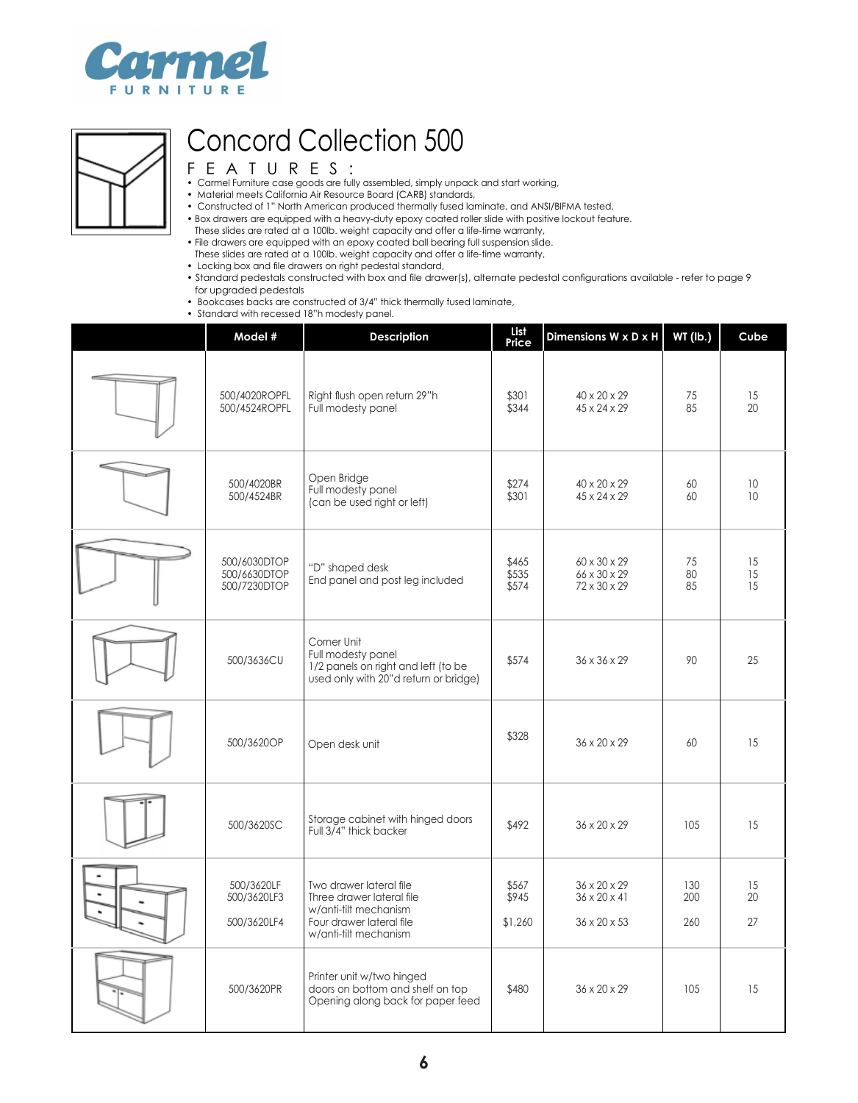



- Carmel Furniture case goods are fully assembled, simply unpack and start working,
- Material meets California Air Resource Board (CARB) standards,
- Constructed of 1" North American produced thermally fused laminate, and ANSI/BIFMA tested,
- Box drawers are equipped with a heavy-duty epoxy coated roller slide with positive lockout feature.
- These slides are rated at a 100lb. weight capacity and offer a life-time warranty,
- File drawers are equipped with an epoxy coated ball bearing full suspension slide.
- These slides are rated at a 100lb. weight capacity and offer a life-time warranty,
- Locking box and file drawers on right pedestal standard,
- Standard pedestals constructed with box and file drawer(s), alternate pedestal configurations available refer to page 9 for upgraded pedestals
- Bookcases backs are constructed of 3/4" thick thermally fused laminate,
- Standard with recessed 18"h modesty panel.

| Model #                                      | <b>Description</b>                                                                                                                 | List<br>Price             | Dimensions W x D x H                                     | <b>WT (lb.)</b>   | Cube           |
|----------------------------------------------|------------------------------------------------------------------------------------------------------------------------------------|---------------------------|----------------------------------------------------------|-------------------|----------------|
| 500/4020ROPFL<br>500/4524ROPFL               | Right flush open return 29"h<br>Full modesty panel                                                                                 | \$301<br>\$344            | 40 x 20 x 29<br>$45 \times 24 \times 29$                 | 75<br>85          | 15<br>20       |
| 500/4020BR<br>500/4524BR                     | Open Bridge<br>Full modesty panel<br>(can be used right or left)                                                                   | \$274<br>\$301            | 40 x 20 x 29<br>45 x 24 x 29                             | 60<br>60          | 10<br>10       |
| 500/6030DTOP<br>500/6630DTOP<br>500/7230DTOP | "D" shaped desk<br>End panel and post leg included                                                                                 | \$465<br>\$535<br>\$574   | 60 x 30 x 29<br>66 x 30 x 29<br>72 x 30 x 29             | 75<br>80<br>85    | 15<br>15<br>15 |
| 500/3636CU                                   | Corner Unit<br>Full modesty panel<br>1/2 panels on right and left (to be<br>used only with 20"d return or bridge)                  | \$574                     | $36 \times 36 \times 29$                                 | 90                | 25             |
| 500/3620OP                                   | Open desk unit                                                                                                                     | \$328                     | 36 x 20 x 29                                             | 60                | 15             |
| 500/3620SC                                   | Storage cabinet with hinged doors<br>Full 3/4" thick backer                                                                        | \$492                     | 36 x 20 x 29                                             | 105               | 15             |
| 500/3620LF<br>500/3620LF3<br>500/3620LF4     | Two drawer lateral file<br>Three drawer lateral file<br>w/anti-tilt mechanism<br>Four drawer lateral file<br>w/anti-tilt mechanism | \$567<br>\$945<br>\$1,260 | 36 x 20 x 29<br>$36 \times 20 \times 41$<br>36 x 20 x 53 | 130<br>200<br>260 | 15<br>20<br>27 |
| 500/3620PR                                   | Printer unit w/two hinged<br>doors on bottom and shelf on top<br>Opening along back for paper feed                                 | \$480                     | 36 x 20 x 29                                             | 105               | 15             |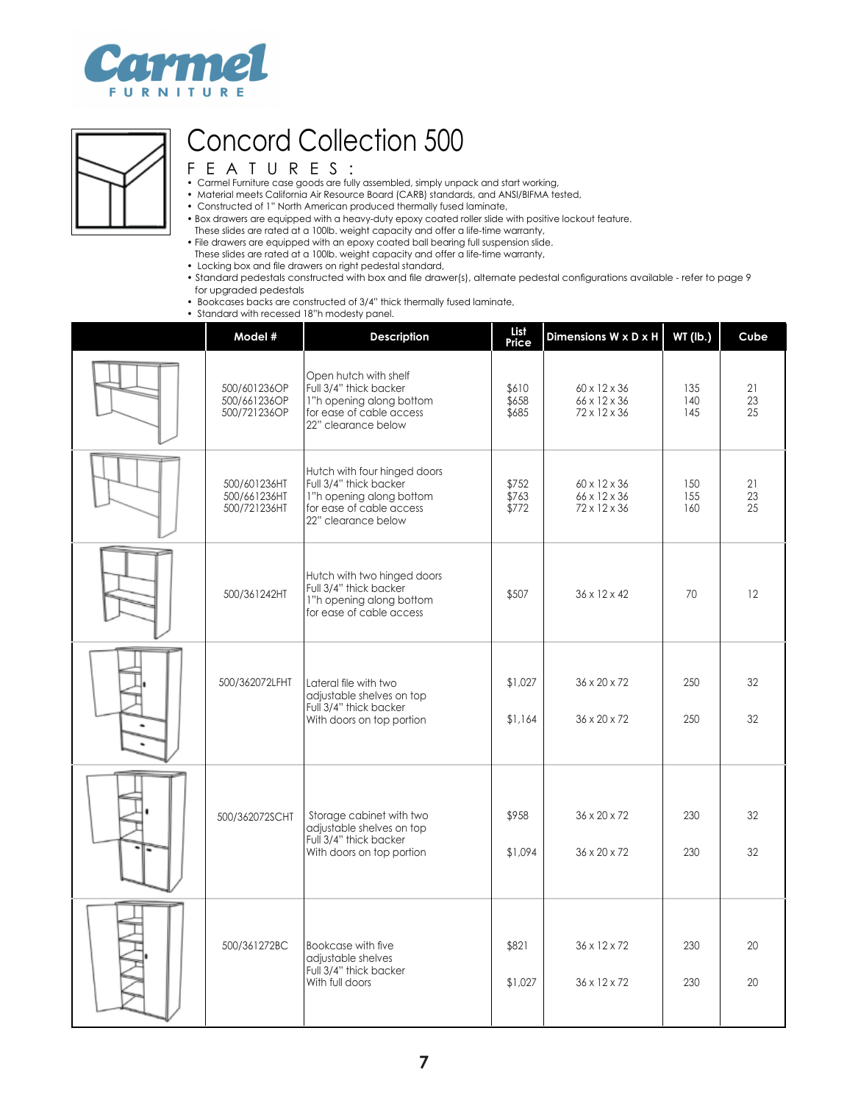



- Carmel Furniture case goods are fully assembled, simply unpack and start working,
- Material meets California Air Resource Board (CARB) standards, and ANSI/BIFMA tested,
- Constructed of 1" North American produced thermally fused laminate,
- Box drawers are equipped with a heavy-duty epoxy coated roller slide with positive lockout feature.
- These slides are rated at a 100lb. weight capacity and offer a life-time warranty,
- File drawers are equipped with an epoxy coated ball bearing full suspension slide.
- These slides are rated at a 100lb. weight capacity and offer a life-time warranty,
- Locking box and file drawers on right pedestal standard,
- Standard pedestals constructed with box and file drawer(s), alternate pedestal configurations available refer to page 9 for upgraded pedestals
- Bookcases backs are constructed of 3/4" thick thermally fused laminate,
- Standard with recessed 18"h modesty panel.

| Model #                                      | <b>Description</b>                                                                                                                    | List<br>Price           | Dimensions W x D x H                         | <b>WT (lb.)</b>   | Cube           |
|----------------------------------------------|---------------------------------------------------------------------------------------------------------------------------------------|-------------------------|----------------------------------------------|-------------------|----------------|
| 500/601236OP<br>500/661236OP<br>500/721236OP | Open hutch with shelf<br>Full 3/4" thick backer<br>1"h opening along bottom<br>for ease of cable access<br>22" clearance below        | \$610<br>\$658<br>\$685 | 60 x 12 x 36<br>66 x 12 x 36<br>72 x 12 x 36 | 135<br>140<br>145 | 21<br>23<br>25 |
| 500/601236HT<br>500/661236HT<br>500/721236HT | Hutch with four hinged doors<br>Full 3/4" thick backer<br>1"h opening along bottom<br>for ease of cable access<br>22" clearance below | \$752<br>\$763<br>\$772 | 60 x 12 x 36<br>66 x 12 x 36<br>72 x 12 x 36 | 150<br>155<br>160 | 21<br>23<br>25 |
| 500/361242HT                                 | Hutch with two hinged doors<br>Full 3/4" thick backer<br>1"h opening along bottom<br>for ease of cable access                         | \$507                   | $36 \times 12 \times 42$                     | 70                | 12             |
| 500/362072LFHT                               | Lateral file with two<br>adjustable shelves on top<br>Full 3/4" thick backer<br>With doors on top portion                             | \$1,027<br>\$1,164      | 36 x 20 x 72<br>$36 \times 20 \times 72$     | 250<br>250        | 32<br>32       |
| 500/362072SCHT                               | Storage cabinet with two<br>adjustable shelves on top<br>Full 3/4" thick backer<br>With doors on top portion                          | \$958<br>\$1,094        | 36 x 20 x 72<br>36 x 20 x 72                 | 230<br>230        | 32<br>32       |
| 500/361272BC                                 | Bookcase with five<br>adjustable shelves<br>Full 3/4" thick backer<br>With full doors                                                 | \$821<br>\$1,027        | 36 x 12 x 72<br>36 x 12 x 72                 | 230<br>230        | 20<br>20       |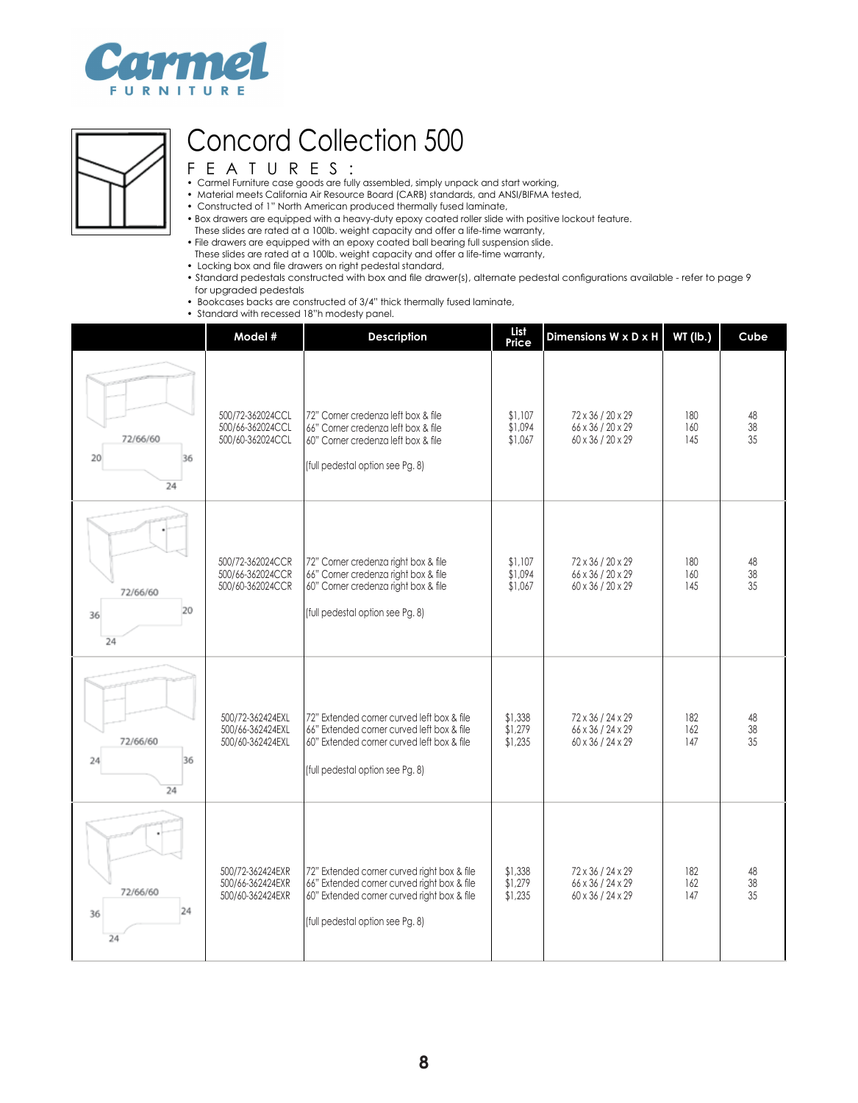



- Carmel Furniture case goods are fully assembled, simply unpack and start working,
- Material meets California Air Resource Board (CARB) standards, and ANSI/BIFMA tested,
- Constructed of 1" North American produced thermally fused laminate,
- Box drawers are equipped with a heavy-duty epoxy coated roller slide with positive lockout feature.
- These slides are rated at a 100lb. weight capacity and offer a life-time warranty,
- File drawers are equipped with an epoxy coated ball bearing full suspension slide.
- These slides are rated at a 100lb. weight capacity and offer a life-time warranty,
- Locking box and file drawers on right pedestal standard,
- Standard pedestals constructed with box and file drawer(s), alternate pedestal configurations available refer to page 9 for upgraded pedestals
- Bookcases backs are constructed of 3/4" thick thermally fused laminate,
- Standard with recessed 18"h modesty panel.

|                            | Model #                                                  | <b>Description</b>                                                                                                                                                            | List<br>Price                 | Dimensions W x D x H                                        | WT (lb.)          | Cube                  |
|----------------------------|----------------------------------------------------------|-------------------------------------------------------------------------------------------------------------------------------------------------------------------------------|-------------------------------|-------------------------------------------------------------|-------------------|-----------------------|
| 72/66/60<br>20<br>36<br>24 | 500/72-362024CCL<br>500/66-362024CCL<br>500/60-362024CCL | 72" Corner credenza left box & file<br>66" Corner credenza left box & file<br>60" Corner credenza left box & file<br>(full pedestal option see Pg. 8)                         | \$1.107<br>\$1,094<br>\$1,067 | 72 x 36 / 20 x 29<br>66 x 36 / 20 x 29<br>60 x 36 / 20 x 29 | 180<br>160<br>145 | 48<br>38<br>35        |
| 72/66/60<br>20<br>36<br>24 | 500/72-362024CCR<br>500/66-362024CCR<br>500/60-362024CCR | 72" Corner credenza right box & file<br>66" Corner credenza right box & file<br>60" Corner credenza right box & file<br>(full pedestal option see Pg. 8)                      | \$1,107<br>\$1,094<br>\$1,067 | 72 x 36 / 20 x 29<br>66 x 36 / 20 x 29<br>60 x 36 / 20 x 29 | 180<br>160<br>145 | 48<br>$\frac{38}{35}$ |
| 72/66/60<br>36<br>24<br>24 | 500/72-362424EXL<br>500/66-362424EXL<br>500/60-362424EXL | 72" Extended corner curved left box & file<br>66" Extended corner curved left box & file<br>60" Extended corner curved left box & file<br>(full pedestal option see Pg. 8)    | \$1,338<br>\$1,279<br>\$1,235 | 72 x 36 / 24 x 29<br>66 x 36 / 24 x 29<br>60 x 36 / 24 x 29 | 182<br>162<br>147 | 48<br>$38\,$<br>35    |
| 72/66/60<br>24<br>36<br>24 | 500/72-362424EXR<br>500/66-362424EXR<br>500/60-362424EXR | 72" Extended corner curved right box & file<br>66" Extended corner curved right box & file<br>60" Extended corner curved right box & file<br>(full pedestal option see Pg. 8) | \$1,338<br>\$1,279<br>\$1,235 | 72 x 36 / 24 x 29<br>66 x 36 / 24 x 29<br>60 x 36 / 24 x 29 | 182<br>162<br>147 | 48<br>38<br>35        |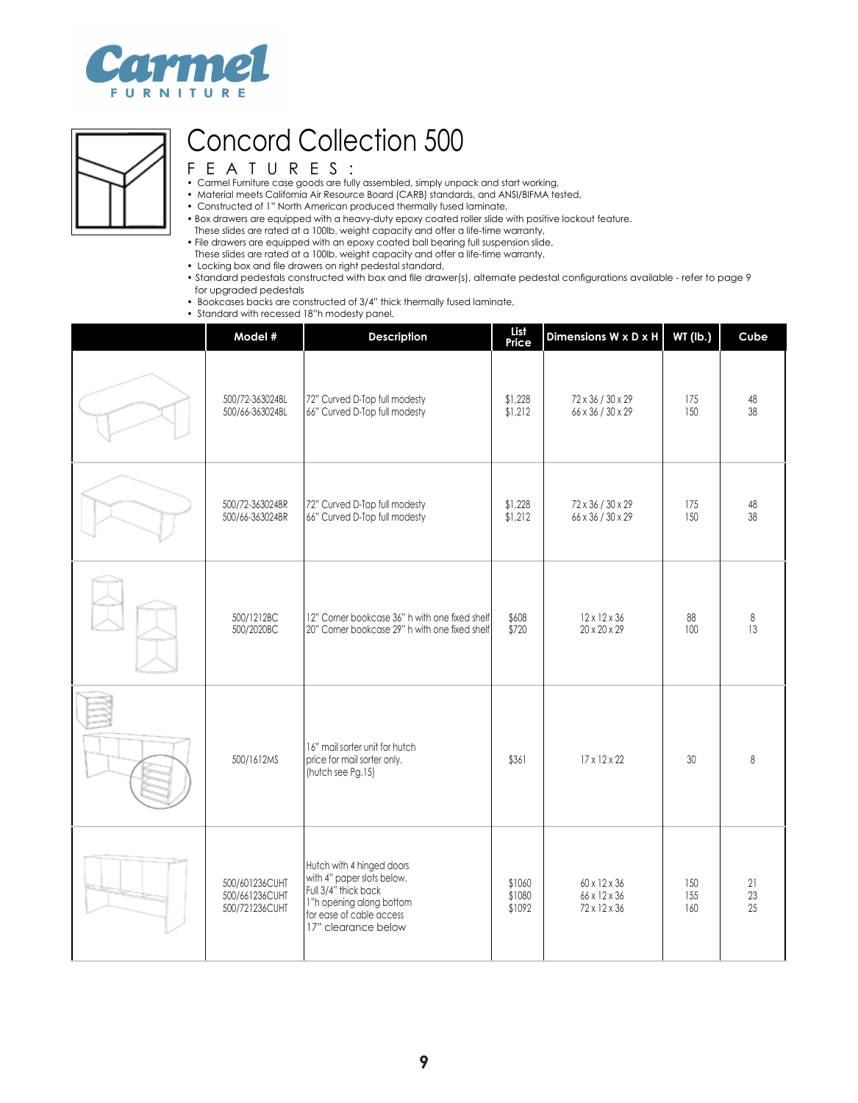



- Carmel Furniture case goods are fully assembled, simply unpack and start working,
- Material meets California Air Resource Board (CARB) standards, and ANSI/BIFMA tested,
- Constructed of 1" North American produced thermally fused laminate,
- Box drawers are equipped with a heavy-duty epoxy coated roller slide with positive lockout feature.
- These slides are rated at a 100lb. weight capacity and offer a life-time warranty,
- File drawers are equipped with an epoxy coated ball bearing full suspension slide.
- These slides are rated at a 100lb. weight capacity and offer a life-time warranty,
- Locking box and file drawers on right pedestal standard,
- Standard pedestals constructed with box and file drawer(s), alternate pedestal configurations available refer to page 9 for upgraded pedestals
- Bookcases backs are constructed of 3/4" thick thermally fused laminate,
- Standard with recessed 18"h modesty panel.

| Model #                                            | <b>Description</b>                                                                                                                                             | List<br>Price              | Dimensions W x D x H                         | <b>WT (lb.)</b>   | Cube    |
|----------------------------------------------------|----------------------------------------------------------------------------------------------------------------------------------------------------------------|----------------------------|----------------------------------------------|-------------------|---------|
| 500/72-363024BL                                    | 72" Curved D-Top full modesty                                                                                                                                  | \$1,228                    | 72 x 36 / 30 x 29                            | 175               | 48      |
| 500/66-363024BL                                    | 66" Curved D-Top full modesty                                                                                                                                  | \$1,212                    | 66 x 36 / 30 x 29                            | 150               | 38      |
| 500/72-363024BR                                    | 72" Curved D-Top full modesty                                                                                                                                  | \$1,228                    | 72 x 36 / 30 x 29                            | 175               | 48      |
| 500/66-363024BR                                    | 66" Curved D-Top full modesty                                                                                                                                  | \$1,212                    | 66 x 36 / 30 x 29                            | 150               | 38      |
| 500/1212BC                                         | 12" Corner bookcase 36" h with one fixed shelf                                                                                                                 | \$608                      | $12 \times 12 \times 36$                     | 88                | $\,8\,$ |
| 500/2020BC                                         | 20" Corner bookcase 29" h with one fixed shelf                                                                                                                 | \$720                      | 20 x 20 x 29                                 | 100               | 13      |
| 500/1612MS                                         | 16" mail sorter unit for hutch<br>price for mail sorter only.<br>(hutch see Pg.15)                                                                             | \$361                      | $17 \times 12 \times 22$                     | 30                | 8       |
| 500/601236CUHT<br>500/661236CUHT<br>500/721236CUHT | Hutch with 4 hinged doors<br>with 4" paper slots below.<br>Full 3/4" thick back<br>1"h opening along bottom<br>for ease of cable access<br>17" clearance below | \$1060<br>\$1080<br>\$1092 | 60 x 12 x 36<br>66 x 12 x 36<br>72 x 12 x 36 | 150<br>155<br>160 |         |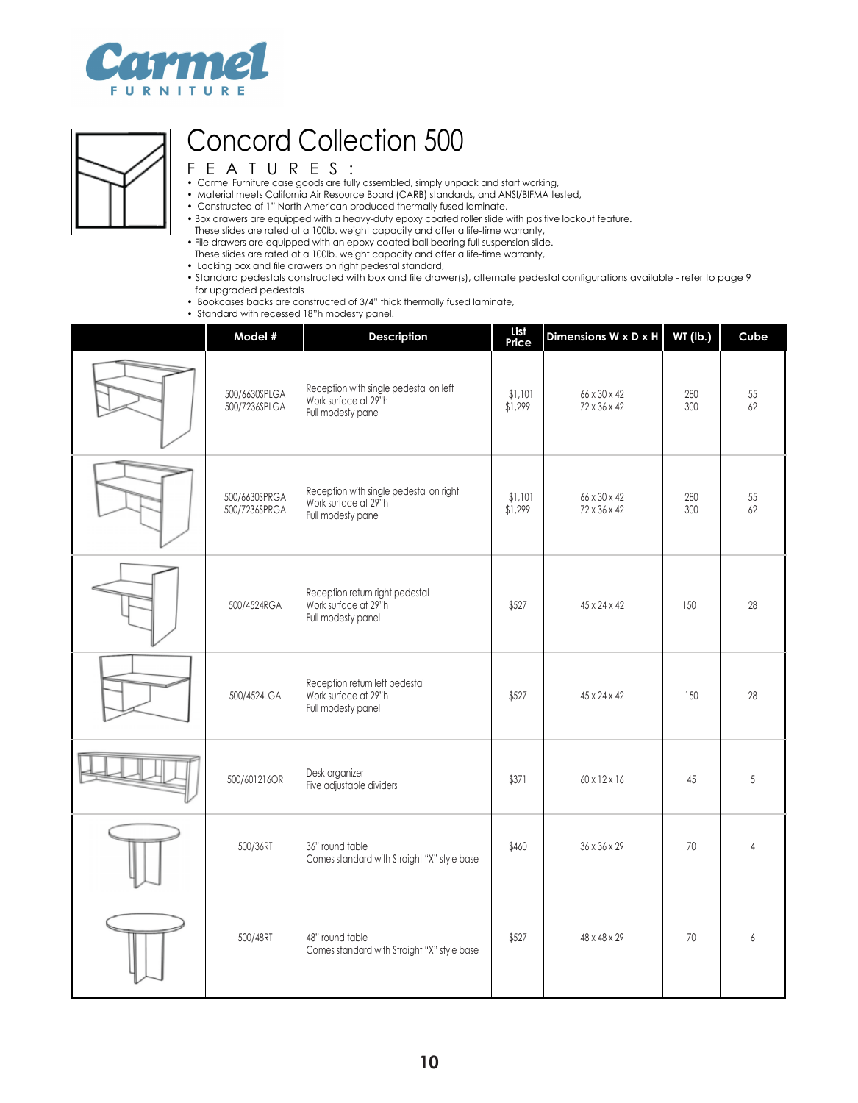



- Carmel Furniture case goods are fully assembled, simply unpack and start working,
- Material meets California Air Resource Board (CARB) standards, and ANSI/BIFMA tested,
- Constructed of 1" North American produced thermally fused laminate,
- Box drawers are equipped with a heavy-duty epoxy coated roller slide with positive lockout feature.
- These slides are rated at a 100lb. weight capacity and offer a life-time warranty,
- File drawers are equipped with an epoxy coated ball bearing full suspension slide.
- These slides are rated at a 100lb. weight capacity and offer a life-time warranty,
- Locking box and file drawers on right pedestal standard,
- Standard pedestals constructed with box and file drawer(s), alternate pedestal configurations available refer to page 9 for upgraded pedestals
- Bookcases backs are constructed of 3/4" thick thermally fused laminate,
- Standard with recessed 18"h modesty panel.

| Model #                        | Description                                                                           | List<br>Price      | Dimensions W x D x H         | <b>WT (lb.)</b> | Cube         |
|--------------------------------|---------------------------------------------------------------------------------------|--------------------|------------------------------|-----------------|--------------|
| 500/6630SPLGA<br>500/7236SPLGA | Reception with single pedestal on left<br>Work surface at 29"h<br>Full modesty panel  | \$1,101<br>\$1,299 | 66 x 30 x 42<br>72 x 36 x 42 | 280<br>300      | $55\,$<br>62 |
| 500/6630SPRGA<br>500/7236SPRGA | Reception with single pedestal on right<br>Work surface at 29"h<br>Full modesty panel | \$1,101<br>\$1,299 | 66 x 30 x 42<br>72 x 36 x 42 | 280<br>300      | 55<br>62     |
| 500/4524RGA                    | Reception return right pedestal<br>Work surface at 29"h<br>Full modesty panel         | \$527              | 45 x 24 x 42                 | 150             | 28           |
| 500/4524LGA                    | Reception return left pedestal<br>Work surface at 29"h<br>Full modesty panel          | \$527              | $45 \times 24 \times 42$     | 150             | 28           |
| 500/601216OR                   | Desk organizer<br>Five adjustable dividers                                            | \$371              | 60 x 12 x 16                 | 45              | 5            |
| 500/36RT                       | 36" round table<br>Comes standard with Straight "X" style base                        | \$460              | 36 x 36 x 29                 | 70              | 4            |
| 500/48RT                       | 48" round table<br>Comes standard with Straight "X" style base                        | \$527              | 48 x 48 x 29                 | 70              | 6            |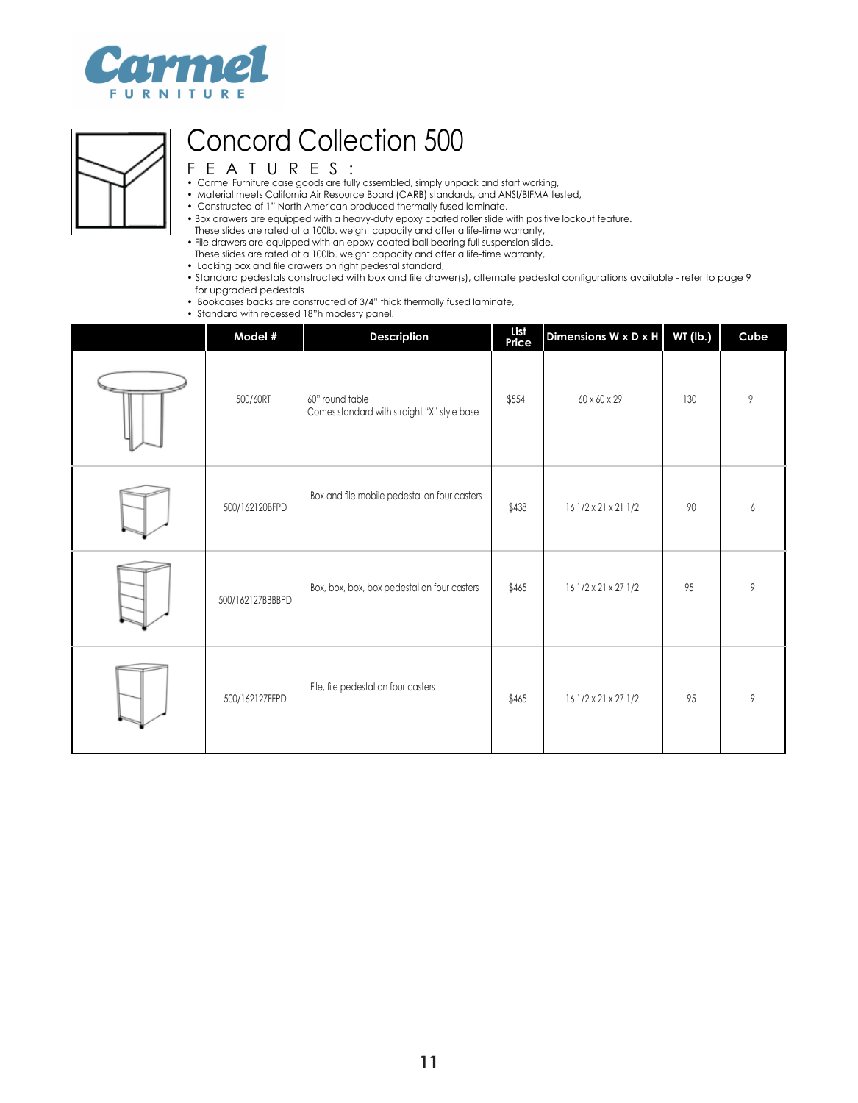



- Carmel Furniture case goods are fully assembled, simply unpack and start working,
- Material meets California Air Resource Board (CARB) standards, and ANSI/BIFMA tested,
- Constructed of 1" North American produced thermally fused laminate,
- Box drawers are equipped with a heavy-duty epoxy coated roller slide with positive lockout feature.
- These slides are rated at a 100lb. weight capacity and offer a life-time warranty,
- File drawers are equipped with an epoxy coated ball bearing full suspension slide.
- These slides are rated at a 100lb. weight capacity and offer a life-time warranty,
- Locking box and file drawers on right pedestal standard,
- Standard pedestals constructed with box and file drawer(s), alternate pedestal configurations available refer to page 9 for upgraded pedestals
- Bookcases backs are constructed of 3/4" thick thermally fused laminate,
- Standard with recessed 18"h modesty panel.

| Model #          | Description                                                    | List<br>Price | Dimensions W x D x H | WT (lb.) | Cube |
|------------------|----------------------------------------------------------------|---------------|----------------------|----------|------|
| 500/60RT         | 60" round table<br>Comes standard with straight "X" style base | \$554         | 60 x 60 x 29         | 130      | 9    |
| 500/162120BFPD   | Box and file mobile pedestal on four casters                   | \$438         | 16 1/2 x 21 x 21 1/2 | 90       | 6    |
| 500/162127BBBBPD | Box, box, box, box pedestal on four casters                    | \$465         | 16 1/2 x 21 x 27 1/2 | 95       | 9    |
| 500/162127FFPD   | File, file pedestal on four casters                            | \$465         | 16 1/2 x 21 x 27 1/2 | 95       | 9    |